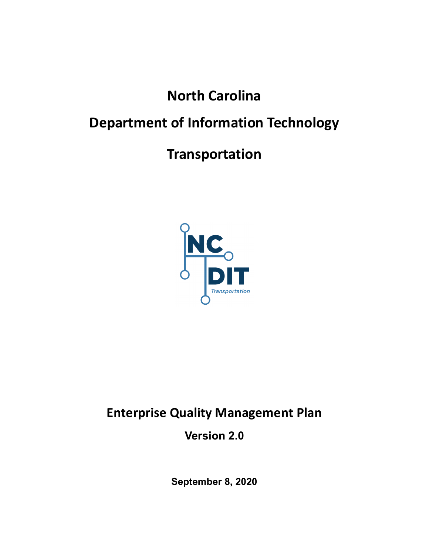# North Carolina

# Department of Information Technology

## Transportation



## Enterprise Quality Management Plan

Version 2.0

September 8, 2020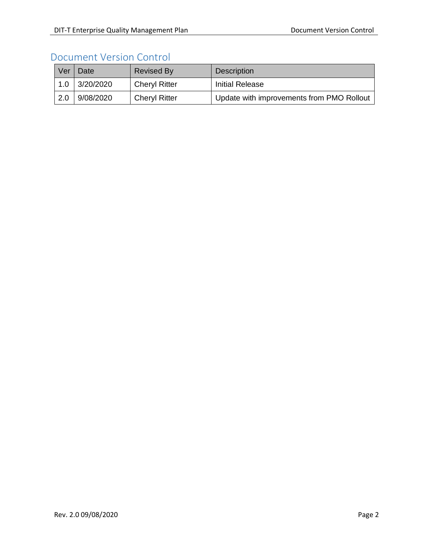### Document Version Control

| Ver | Date      | <b>Revised By</b>    | <b>Description</b>                        |
|-----|-----------|----------------------|-------------------------------------------|
| 1.0 | 3/20/2020 | <b>Cheryl Ritter</b> | Initial Release                           |
| 2.0 | 9/08/2020 | <b>Cheryl Ritter</b> | Update with improvements from PMO Rollout |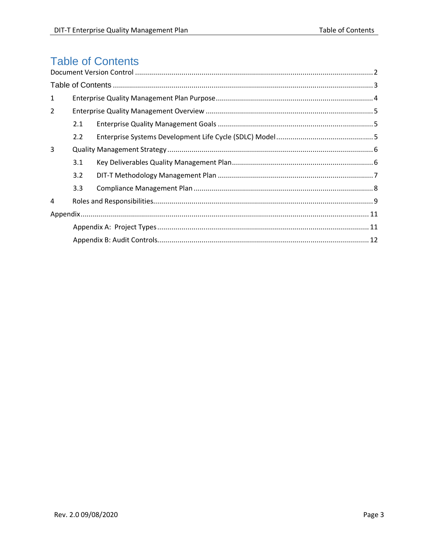## **Table of Contents**

| $\mathbf{1}$ |     |  |  |
|--------------|-----|--|--|
| 2            |     |  |  |
|              | 2.1 |  |  |
|              | 2.2 |  |  |
| 3            |     |  |  |
|              | 3.1 |  |  |
|              | 3.2 |  |  |
|              | 3.3 |  |  |
| 4            |     |  |  |
|              |     |  |  |
|              |     |  |  |
|              |     |  |  |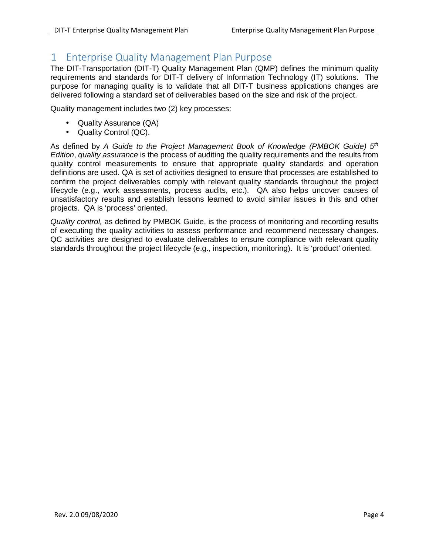### 1 Enterprise Quality Management Plan Purpose

The DIT-Transportation (DIT-T) Quality Management Plan (QMP) defines the minimum quality requirements and standards for DIT-T delivery of Information Technology (IT) solutions. The purpose for managing quality is to validate that all DIT-T business applications changes are delivered following a standard set of deliverables based on the size and risk of the project.

Quality management includes two (2) key processes:

- Quality Assurance (QA)
- Quality Control (QC).

As defined by A Guide to the Project Management Book of Knowledge (PMBOK Guide)  $5<sup>th</sup>$ Edition, quality assurance is the process of auditing the quality requirements and the results from quality control measurements to ensure that appropriate quality standards and operation definitions are used. QA is set of activities designed to ensure that processes are established to confirm the project deliverables comply with relevant quality standards throughout the project lifecycle (e.g., work assessments, process audits, etc.). QA also helps uncover causes of unsatisfactory results and establish lessons learned to avoid similar issues in this and other projects. QA is 'process' oriented.

Quality control, as defined by PMBOK Guide, is the process of monitoring and recording results of executing the quality activities to assess performance and recommend necessary changes. QC activities are designed to evaluate deliverables to ensure compliance with relevant quality standards throughout the project lifecycle (e.g., inspection, monitoring). It is 'product' oriented.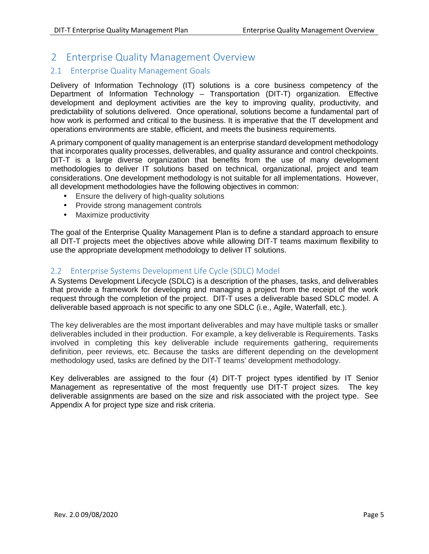### 2 Enterprise Quality Management Overview

#### 2.1 Enterprise Quality Management Goals

Delivery of Information Technology (IT) solutions is a core business competency of the Department of Information Technology – Transportation (DIT-T) organization. Effective development and deployment activities are the key to improving quality, productivity, and predictability of solutions delivered. Once operational, solutions become a fundamental part of how work is performed and critical to the business. It is imperative that the IT development and operations environments are stable, efficient, and meets the business requirements.

A primary component of quality management is an enterprise standard development methodology that incorporates quality processes, deliverables, and quality assurance and control checkpoints. DIT-T is a large diverse organization that benefits from the use of many development methodologies to deliver IT solutions based on technical, organizational, project and team considerations. One development methodology is not suitable for all implementations. However, all development methodologies have the following objectives in common:

- Ensure the delivery of high-quality solutions
- Provide strong management controls
- Maximize productivity

The goal of the Enterprise Quality Management Plan is to define a standard approach to ensure all DIT-T projects meet the objectives above while allowing DIT-T teams maximum flexibility to use the appropriate development methodology to deliver IT solutions.

#### 2.2 Enterprise Systems Development Life Cycle (SDLC) Model

A Systems Development Lifecycle (SDLC) is a description of the phases, tasks, and deliverables that provide a framework for developing and managing a project from the receipt of the work request through the completion of the project. DIT-T uses a deliverable based SDLC model. A deliverable based approach is not specific to any one SDLC (i.e., Agile, Waterfall, etc.).

The key deliverables are the most important deliverables and may have multiple tasks or smaller deliverables included in their production. For example, a key deliverable is Requirements. Tasks involved in completing this key deliverable include requirements gathering, requirements definition, peer reviews, etc. Because the tasks are different depending on the development methodology used, tasks are defined by the DIT-T teams' development methodology.

Key deliverables are assigned to the four (4) DIT-T project types identified by IT Senior Management as representative of the most frequently use DIT-T project sizes. The key deliverable assignments are based on the size and risk associated with the project type. See Appendix A for project type size and risk criteria.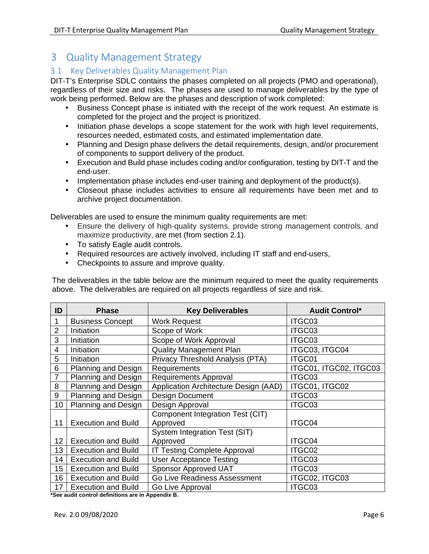## 3 Quality Management Strategy

#### 3.1 Key Deliverables Quality Management Plan

DIT-T's Enterprise SDLC contains the phases completed on all projects (PMO and operational), regardless of their size and risks. The phases are used to manage deliverables by the type of work being performed. Below are the phases and description of work completed:

- Business Concept phase is initiated with the receipt of the work request. An estimate is completed for the project and the project is prioritized.
- Initiation phase develops a scope statement for the work with high level requirements, resources needed, estimated costs, and estimated implementation date.
- Planning and Design phase delivers the detail requirements, design, and/or procurement of components to support delivery of the product.
- Execution and Build phase includes coding and/or configuration, testing by DIT-T and the end-user.
- Implementation phase includes end-user training and deployment of the product(s).
- Closeout phase includes activities to ensure all requirements have been met and to archive project documentation.

Deliverables are used to ensure the minimum quality requirements are met:

- Ensure the delivery of high-quality systems, provide strong management controls, and maximize productivity, are met (from section 2.1).
- To satisfy Eagle audit controls.
- Required resources are actively involved, including IT staff and end-users,
- Checkpoints to assure and improve quality.

The deliverables in the table below are the minimum required to meet the quality requirements above. The deliverables are required on all projects regardless of size and risk.

| ID             | <b>Phase</b>               | <b>Key Deliverables</b>               | <b>Audit Control*</b>  |
|----------------|----------------------------|---------------------------------------|------------------------|
|                | <b>Business Concept</b>    | Work Request                          | ITGC03                 |
| $\overline{2}$ | Initiation                 | Scope of Work                         | ITGC03                 |
| 3              | Initiation                 | Scope of Work Approval                | ITGC03                 |
| 4              | Initiation                 | <b>Quality Management Plan</b>        | ITGC03, ITGC04         |
| 5              | Initiation                 | Privacy Threshold Analysis (PTA)      | ITGC01                 |
| 6              | Planning and Design        | Requirements                          | ITGC01, ITGC02, ITGC03 |
| $\overline{7}$ | Planning and Design        | Requirements Approval                 | ITGC03                 |
| 8              | <b>Planning and Design</b> | Application Architecture Design (AAD) | ITGC01, ITGC02         |
| 9              | <b>Planning and Design</b> | <b>Design Document</b>                | ITGC03                 |
| 10             | <b>Planning and Design</b> | Design Approval                       | ITGC03                 |
|                |                            | Component Integration Test (CIT)      |                        |
| 11             | <b>Execution and Build</b> | Approved                              | ITGC04                 |
|                |                            | System Integration Test (SIT)         |                        |
| 12             | <b>Execution and Build</b> | Approved                              | ITGC04                 |
| 13             | <b>Execution and Build</b> | IT Testing Complete Approval          | ITGC02                 |
| 14             | <b>Execution and Build</b> | <b>User Acceptance Testing</b>        | ITGC03                 |
| 15             | <b>Execution and Build</b> | <b>Sponsor Approved UAT</b>           | ITGC03                 |
| 16             | <b>Execution and Build</b> | Go Live Readiness Assessment          | ITGC02, ITGC03         |
| 17             | <b>Execution and Build</b> | Go Live Approval                      | ITGC03                 |

**\*See audit control definitions are in Appendix B.**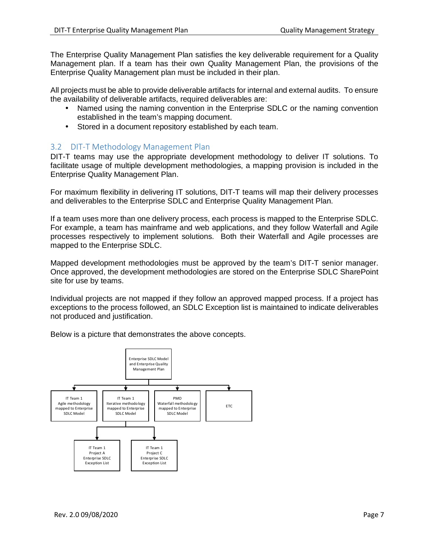The Enterprise Quality Management Plan satisfies the key deliverable requirement for a Quality Management plan. If a team has their own Quality Management Plan, the provisions of the Enterprise Quality Management plan must be included in their plan.

All projects must be able to provide deliverable artifacts for internal and external audits. To ensure the availability of deliverable artifacts, required deliverables are:

- Named using the naming convention in the Enterprise SDLC or the naming convention established in the team's mapping document.
- Stored in a document repository established by each team.

#### 3.2 DIT-T Methodology Management Plan

DIT-T teams may use the appropriate development methodology to deliver IT solutions. To facilitate usage of multiple development methodologies, a mapping provision is included in the Enterprise Quality Management Plan.

For maximum flexibility in delivering IT solutions, DIT-T teams will map their delivery processes and deliverables to the Enterprise SDLC and Enterprise Quality Management Plan.

If a team uses more than one delivery process, each process is mapped to the Enterprise SDLC. For example, a team has mainframe and web applications, and they follow Waterfall and Agile processes respectively to implement solutions. Both their Waterfall and Agile processes are mapped to the Enterprise SDLC.

Mapped development methodologies must be approved by the team's DIT-T senior manager. Once approved, the development methodologies are stored on the Enterprise SDLC SharePoint site for use by teams.

Individual projects are not mapped if they follow an approved mapped process. If a project has exceptions to the process followed, an SDLC Exception list is maintained to indicate deliverables not produced and justification.

Below is a picture that demonstrates the above concepts.

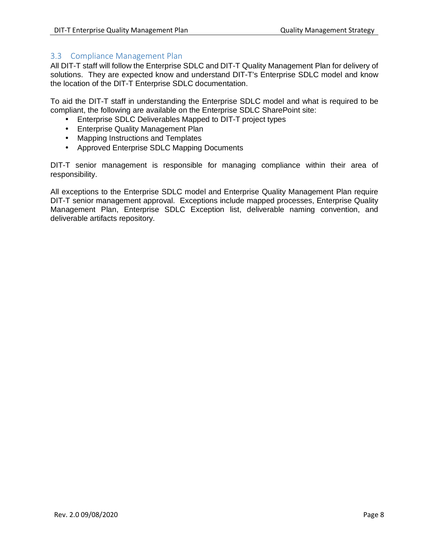#### 3.3 Compliance Management Plan

All DIT-T staff will follow the Enterprise SDLC and DIT-T Quality Management Plan for delivery of solutions. They are expected know and understand DIT-T's Enterprise SDLC model and know the location of the DIT-T Enterprise SDLC documentation.

To aid the DIT-T staff in understanding the Enterprise SDLC model and what is required to be compliant, the following are available on the Enterprise SDLC SharePoint site:

- Enterprise SDLC Deliverables Mapped to DIT-T project types
- Enterprise Quality Management Plan
- Mapping Instructions and Templates
- Approved Enterprise SDLC Mapping Documents

DIT-T senior management is responsible for managing compliance within their area of responsibility.

All exceptions to the Enterprise SDLC model and Enterprise Quality Management Plan require DIT-T senior management approval. Exceptions include mapped processes, Enterprise Quality Management Plan, Enterprise SDLC Exception list, deliverable naming convention, and deliverable artifacts repository.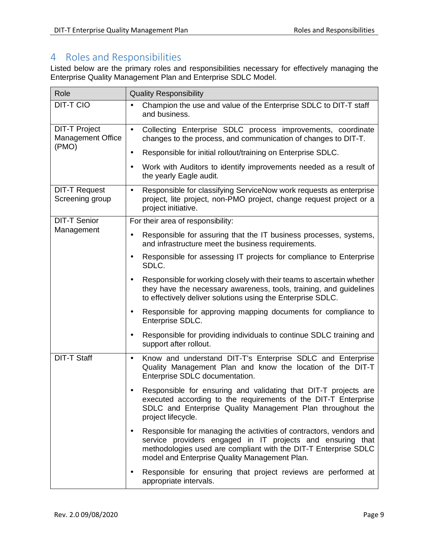## 4 Roles and Responsibilities

Listed below are the primary roles and responsibilities necessary for effectively managing the Enterprise Quality Management Plan and Enterprise SDLC Model.

| Role                                             | <b>Quality Responsibility</b>                                                                                                                                                                                                                                      |  |
|--------------------------------------------------|--------------------------------------------------------------------------------------------------------------------------------------------------------------------------------------------------------------------------------------------------------------------|--|
| <b>DIT-T CIO</b>                                 | Champion the use and value of the Enterprise SDLC to DIT-T staff<br>$\bullet$<br>and business.                                                                                                                                                                     |  |
| <b>DIT-T Project</b><br><b>Management Office</b> | Collecting Enterprise SDLC process improvements, coordinate<br>$\bullet$<br>changes to the process, and communication of changes to DIT-T.                                                                                                                         |  |
| (PMO)                                            | Responsible for initial rollout/training on Enterprise SDLC.<br>$\bullet$                                                                                                                                                                                          |  |
|                                                  | Work with Auditors to identify improvements needed as a result of<br>$\bullet$<br>the yearly Eagle audit.                                                                                                                                                          |  |
| <b>DIT-T Request</b><br>Screening group          | Responsible for classifying ServiceNow work requests as enterprise<br>$\bullet$<br>project, lite project, non-PMO project, change request project or a<br>project initiative.                                                                                      |  |
| <b>DIT-T Senior</b>                              | For their area of responsibility:                                                                                                                                                                                                                                  |  |
| Management                                       | Responsible for assuring that the IT business processes, systems,<br>$\bullet$<br>and infrastructure meet the business requirements.                                                                                                                               |  |
|                                                  | Responsible for assessing IT projects for compliance to Enterprise<br>$\bullet$<br>SDLC.                                                                                                                                                                           |  |
|                                                  | Responsible for working closely with their teams to ascertain whether<br>$\bullet$<br>they have the necessary awareness, tools, training, and quidelines<br>to effectively deliver solutions using the Enterprise SDLC.                                            |  |
|                                                  | Responsible for approving mapping documents for compliance to<br>٠<br>Enterprise SDLC.                                                                                                                                                                             |  |
|                                                  | Responsible for providing individuals to continue SDLC training and<br>٠<br>support after rollout.                                                                                                                                                                 |  |
| <b>DIT-T Staff</b>                               | Know and understand DIT-T's Enterprise SDLC and Enterprise<br>$\bullet$<br>Quality Management Plan and know the location of the DIT-T<br>Enterprise SDLC documentation.                                                                                            |  |
|                                                  | Responsible for ensuring and validating that DIT-T projects are<br>executed according to the requirements of the DIT-T Enterprise<br>SDLC and Enterprise Quality Management Plan throughout the<br>project lifecycle.                                              |  |
|                                                  | Responsible for managing the activities of contractors, vendors and<br>$\bullet$<br>service providers engaged in IT projects and ensuring that<br>methodologies used are compliant with the DIT-T Enterprise SDLC<br>model and Enterprise Quality Management Plan. |  |
|                                                  | Responsible for ensuring that project reviews are performed at<br>$\bullet$<br>appropriate intervals.                                                                                                                                                              |  |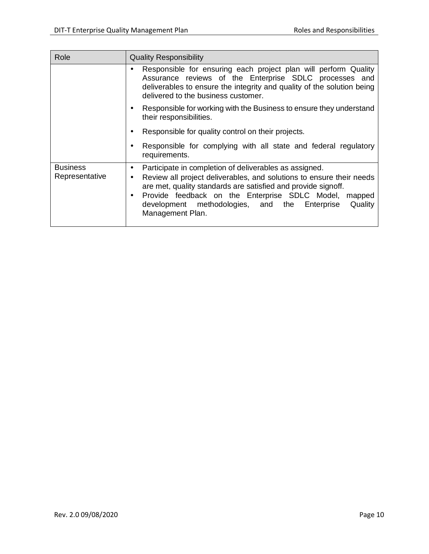| Role                                                                                                        | <b>Quality Responsibility</b>                                                                                                                                                                                                                                                                                                                                                         |  |
|-------------------------------------------------------------------------------------------------------------|---------------------------------------------------------------------------------------------------------------------------------------------------------------------------------------------------------------------------------------------------------------------------------------------------------------------------------------------------------------------------------------|--|
|                                                                                                             | Responsible for ensuring each project plan will perform Quality<br>$\bullet$<br>Assurance reviews of the Enterprise SDLC processes and<br>deliverables to ensure the integrity and quality of the solution being<br>delivered to the business customer.                                                                                                                               |  |
| Responsible for working with the Business to ensure they understand<br>$\bullet$<br>their responsibilities. |                                                                                                                                                                                                                                                                                                                                                                                       |  |
|                                                                                                             | Responsible for quality control on their projects.<br>$\bullet$                                                                                                                                                                                                                                                                                                                       |  |
|                                                                                                             | Responsible for complying with all state and federal regulatory<br>$\bullet$<br>requirements.                                                                                                                                                                                                                                                                                         |  |
| <b>Business</b><br>Representative                                                                           | Participate in completion of deliverables as assigned.<br>$\bullet$<br>Review all project deliverables, and solutions to ensure their needs<br>$\bullet$<br>are met, quality standards are satisfied and provide signoff.<br>Provide feedback on the Enterprise SDLC Model,<br>mapped<br>$\bullet$<br>Quality<br>development methodologies, and the<br>Enterprise<br>Management Plan. |  |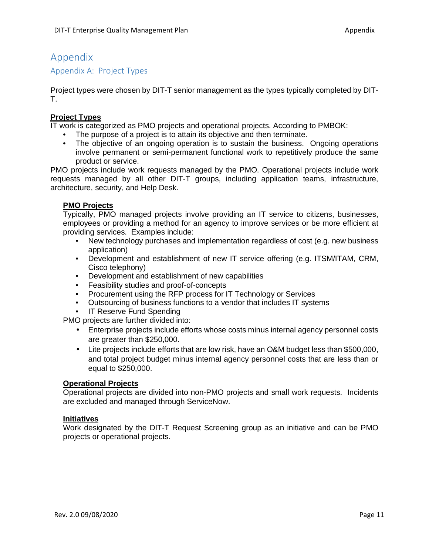### Appendix

#### Appendix A: Project Types

Project types were chosen by DIT-T senior management as the types typically completed by DIT-T.

#### **Project Types**

IT work is categorized as PMO projects and operational projects. According to PMBOK:

- The purpose of a project is to attain its objective and then terminate.
- The objective of an ongoing operation is to sustain the business. Ongoing operations involve permanent or semi-permanent functional work to repetitively produce the same product or service.

PMO projects include work requests managed by the PMO. Operational projects include work requests managed by all other DIT-T groups, including application teams, infrastructure, architecture, security, and Help Desk.

#### **PMO Projects**

Typically, PMO managed projects involve providing an IT service to citizens, businesses, employees or providing a method for an agency to improve services or be more efficient at providing services. Examples include:

- New technology purchases and implementation regardless of cost (e.g. new business application)
- Development and establishment of new IT service offering (e.g. ITSM/ITAM, CRM, Cisco telephony)
- Development and establishment of new capabilities
- Feasibility studies and proof-of-concepts
- Procurement using the RFP process for IT Technology or Services
- Outsourcing of business functions to a vendor that includes IT systems
- IT Reserve Fund Spending

PMO projects are further divided into:

- Enterprise projects include efforts whose costs minus internal agency personnel costs are greater than \$250,000.
- Lite projects include efforts that are low risk, have an O&M budget less than \$500,000, and total project budget minus internal agency personnel costs that are less than or equal to \$250,000.

#### **Operational Projects**

Operational projects are divided into non-PMO projects and small work requests. Incidents are excluded and managed through ServiceNow.

#### **Initiatives**

Work designated by the DIT-T Request Screening group as an initiative and can be PMO projects or operational projects.